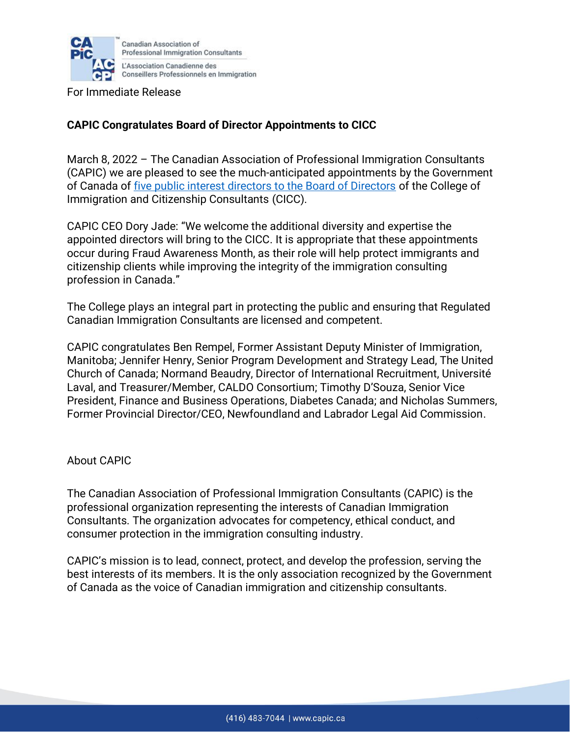

For Immediate Release

## **CAPIC Congratulates Board of Director Appointments to CICC**

March 8, 2022 – The Canadian Association of Professional Immigration Consultants (CAPIC) we are pleased to see the much-anticipated appointments by the Government of Canada of [five public interest directors to the Board of Directors](https://www.canada.ca/en/immigration-refugees-citizenship/news/2022/03/board-of-directors-appointed-for-the-college-of-immigration-and-citizenship-consultants.html) of the College of Immigration and Citizenship Consultants (CICC).

CAPIC CEO Dory Jade: "We welcome the additional diversity and expertise the appointed directors will bring to the CICC. It is appropriate that these appointments occur during Fraud Awareness Month, as their role will help protect immigrants and citizenship clients while improving the integrity of the immigration consulting profession in Canada."

The College plays an integral part in protecting the public and ensuring that Regulated Canadian Immigration Consultants are licensed and competent.

CAPIC congratulates Ben Rempel, Former Assistant Deputy Minister of Immigration, Manitoba; Jennifer Henry, Senior Program Development and Strategy Lead, The United Church of Canada; Normand Beaudry, Director of International Recruitment, Université Laval, and Treasurer/Member, CALDO Consortium; Timothy D'Souza, Senior Vice President, Finance and Business Operations, Diabetes Canada; and Nicholas Summers, Former Provincial Director/CEO, Newfoundland and Labrador Legal Aid Commission.

## About CAPIC

The Canadian Association of Professional Immigration Consultants (CAPIC) is the professional organization representing the interests of Canadian Immigration Consultants. The organization advocates for competency, ethical conduct, and consumer protection in the immigration consulting industry.

CAPIC's mission is to lead, connect, protect, and develop the profession, serving the best interests of its members. It is the only association recognized by the Government of Canada as the voice of Canadian immigration and citizenship consultants.